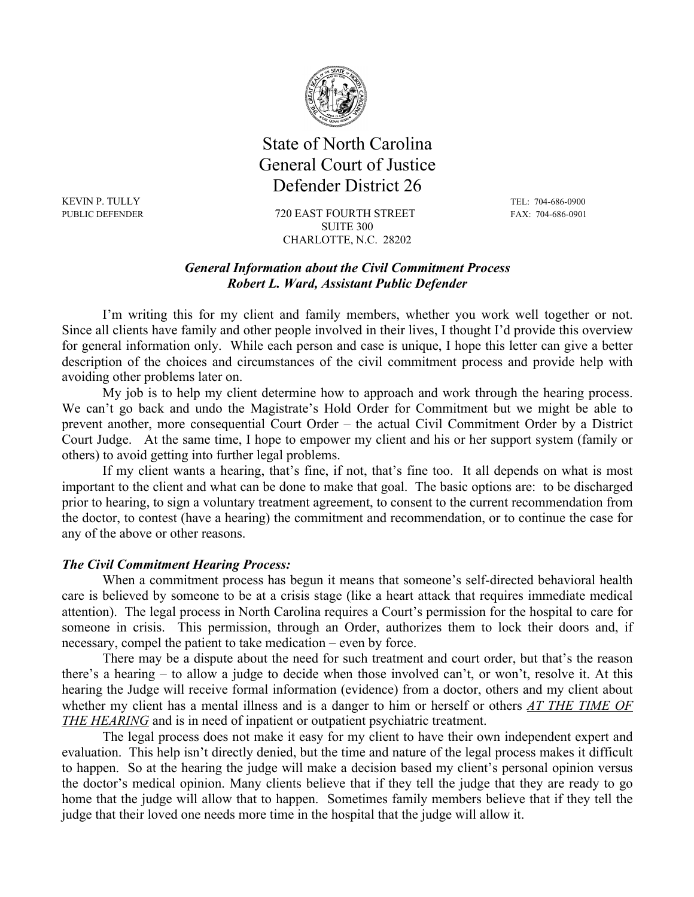

## State of North Carolina General Court of Justice Defender District 26

KEVIN P. TULLY TEL: 704-686-0900

PUBLIC DEFENDER 720 EAST FOURTH STREET FAX: 704-686-0901 SUITE 300 CHARLOTTE, N.C. 28202

## *General Information about the Civil Commitment Process Robert L. Ward, Assistant Public Defender*

I'm writing this for my client and family members, whether you work well together or not. Since all clients have family and other people involved in their lives, I thought I'd provide this overview for general information only. While each person and case is unique, I hope this letter can give a better description of the choices and circumstances of the civil commitment process and provide help with avoiding other problems later on.

My job is to help my client determine how to approach and work through the hearing process. We can't go back and undo the Magistrate's Hold Order for Commitment but we might be able to prevent another, more consequential Court Order – the actual Civil Commitment Order by a District Court Judge. At the same time, I hope to empower my client and his or her support system (family or others) to avoid getting into further legal problems.

If my client wants a hearing, that's fine, if not, that's fine too. It all depends on what is most important to the client and what can be done to make that goal. The basic options are: to be discharged prior to hearing, to sign a voluntary treatment agreement, to consent to the current recommendation from the doctor, to contest (have a hearing) the commitment and recommendation, or to continue the case for any of the above or other reasons.

## *The Civil Commitment Hearing Process:*

When a commitment process has begun it means that someone's self-directed behavioral health care is believed by someone to be at a crisis stage (like a heart attack that requires immediate medical attention). The legal process in North Carolina requires a Court's permission for the hospital to care for someone in crisis. This permission, through an Order, authorizes them to lock their doors and, if necessary, compel the patient to take medication – even by force.

There may be a dispute about the need for such treatment and court order, but that's the reason there's a hearing – to allow a judge to decide when those involved can't, or won't, resolve it. At this hearing the Judge will receive formal information (evidence) from a doctor, others and my client about whether my client has a mental illness and is a danger to him or herself or others *AT THE TIME OF THE HEARING* and is in need of inpatient or outpatient psychiatric treatment.

The legal process does not make it easy for my client to have their own independent expert and evaluation. This help isn't directly denied, but the time and nature of the legal process makes it difficult to happen. So at the hearing the judge will make a decision based my client's personal opinion versus the doctor's medical opinion. Many clients believe that if they tell the judge that they are ready to go home that the judge will allow that to happen. Sometimes family members believe that if they tell the judge that their loved one needs more time in the hospital that the judge will allow it.